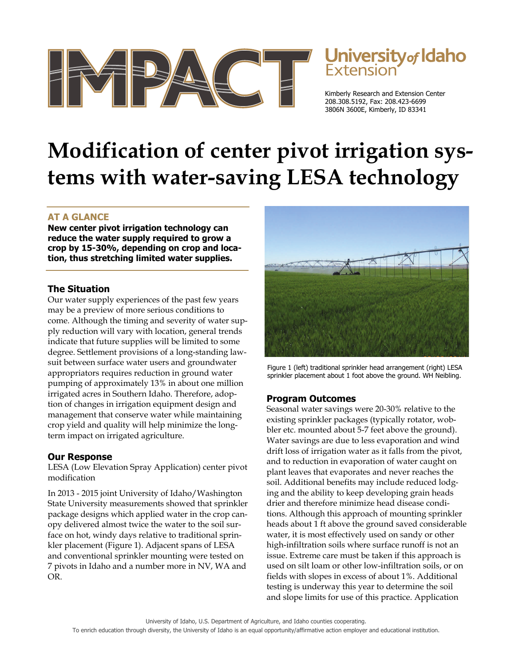

# Jniversity<sub>of</sub> Idaho

Kimberly Research and Extension Center 208.308.5192, Fax: 208.423-6699 3806N 3600E, Kimberly, ID 83341

## **Modification of center pivot irrigation systems with water-saving LESA technology**

### **AT A GLANCE**

**New center pivot irrigation technology can reduce the water supply required to grow a crop by 15-30%, depending on crop and location, thus stretching limited water supplies.** 

#### **The Situation**

Our water supply experiences of the past few years may be a preview of more serious conditions to come. Although the timing and severity of water supply reduction will vary with location, general trends indicate that future supplies will be limited to some degree. Settlement provisions of a long-standing lawsuit between surface water users and groundwater appropriators requires reduction in ground water pumping of approximately 13% in about one million irrigated acres in Southern Idaho. Therefore, adoption of changes in irrigation equipment design and management that conserve water while maintaining crop yield and quality will help minimize the longterm impact on irrigated agriculture.

#### **Our Response**

LESA (Low Elevation Spray Application) center pivot modification

In 2013 - 2015 joint University of Idaho/Washington State University measurements showed that sprinkler package designs which applied water in the crop canopy delivered almost twice the water to the soil surface on hot, windy days relative to traditional sprinkler placement (Figure 1). Adjacent spans of LESA and conventional sprinkler mounting were tested on 7 pivots in Idaho and a number more in NV, WA and OR.



Figure 1 (left) traditional sprinkler head arrangement (right) LESA sprinkler placement about 1 foot above the ground. WH Neibling.

#### **Program Outcomes**

Seasonal water savings were 20-30% relative to the existing sprinkler packages (typically rotator, wobbler etc. mounted about 5-7 feet above the ground). Water savings are due to less evaporation and wind drift loss of irrigation water as it falls from the pivot, and to reduction in evaporation of water caught on plant leaves that evaporates and never reaches the soil. Additional benefits may include reduced lodging and the ability to keep developing grain heads drier and therefore minimize head disease conditions. Although this approach of mounting sprinkler heads about 1 ft above the ground saved considerable water, it is most effectively used on sandy or other high-infiltration soils where surface runoff is not an issue. Extreme care must be taken if this approach is used on silt loam or other low-infiltration soils, or on fields with slopes in excess of about 1%. Additional testing is underway this year to determine the soil and slope limits for use of this practice. Application